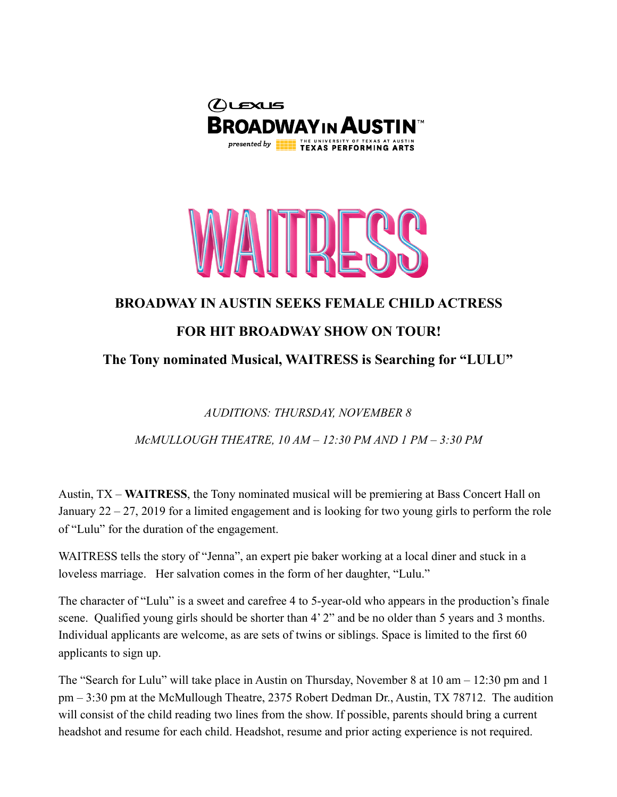



## **BROADWAY IN AUSTIN SEEKS FEMALE CHILD ACTRESS**

## **FOR HIT BROADWAY SHOW ON TOUR!**

**The Tony nominated Musical, WAITRESS is Searching for "LULU"**

*AUDITIONS: THURSDAY, NOVEMBER 8* 

*McMULLOUGH THEATRE, 10 AM – 12:30 PM AND 1 PM – 3:30 PM* 

Austin, TX – **WAITRESS**, the Tony nominated musical will be premiering at Bass Concert Hall on January 22 – 27, 2019 for a limited engagement and is looking for two young girls to perform the role of "Lulu" for the duration of the engagement.

WAITRESS tells the story of "Jenna", an expert pie baker working at a local diner and stuck in a loveless marriage. Her salvation comes in the form of her daughter, "Lulu."

The character of "Lulu" is a sweet and carefree 4 to 5-year-old who appears in the production's finale scene. Qualified young girls should be shorter than 4' 2" and be no older than 5 years and 3 months. Individual applicants are welcome, as are sets of twins or siblings. Space is limited to the first 60 applicants to sign up.

The "Search for Lulu" will take place in Austin on Thursday, November 8 at 10 am – 12:30 pm and 1 pm – 3:30 pm at the McMullough Theatre, 2375 Robert Dedman Dr., Austin, TX 78712. The audition will consist of the child reading two lines from the show. If possible, parents should bring a current headshot and resume for each child. Headshot, resume and prior acting experience is not required.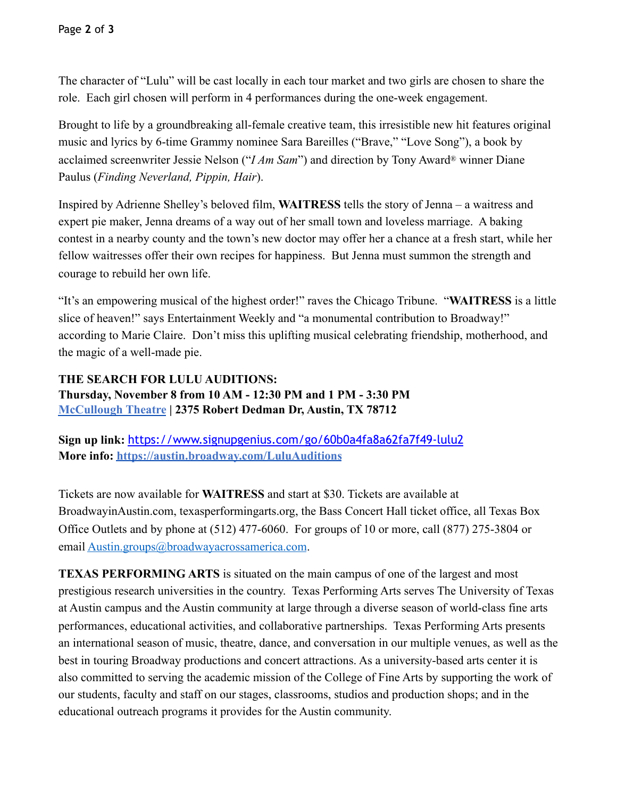The character of "Lulu" will be cast locally in each tour market and two girls are chosen to share the role. Each girl chosen will perform in 4 performances during the one-week engagement.

Brought to life by a groundbreaking all-female creative team, this irresistible new hit features original music and lyrics by 6-time Grammy nominee Sara Bareilles ("Brave," "Love Song"), a book by acclaimed screenwriter Jessie Nelson ("*I Am Sam*") and direction by Tony Award® winner Diane Paulus (*Finding Neverland, Pippin, Hair*).

Inspired by Adrienne Shelley's beloved film, **WAITRESS** tells the story of Jenna – a waitress and expert pie maker, Jenna dreams of a way out of her small town and loveless marriage. A baking contest in a nearby county and the town's new doctor may offer her a chance at a fresh start, while her fellow waitresses offer their own recipes for happiness. But Jenna must summon the strength and courage to rebuild her own life.

"It's an empowering musical of the highest order!" raves the Chicago Tribune. "**WAITRESS** is a little slice of heaven!" says Entertainment Weekly and "a monumental contribution to Broadway!" according to Marie Claire. Don't miss this uplifting musical celebrating friendship, motherhood, and the magic of a well-made pie.

## **THE SEARCH FOR LULU AUDITIONS: Thursday, November 8 from 10 AM - 12:30 PM and 1 PM - 3:30 PM [McCullough Theatre](https://texasperformingarts.org/visit/venues/mccullough-theatre) | 2375 Robert Dedman Dr, Austin, TX 78712**

**Sign up link:** <https://www.signupgenius.com/go/60b0a4fa8a62fa7f49-lulu2> **More info:<https://austin.broadway.com/LuluAuditions>**

Tickets are now available for **WAITRESS** and start at \$30. Tickets are available at BroadwayinAustin.com, texasperformingarts.org, the Bass Concert Hall ticket office, all Texas Box Office Outlets and by phone at (512) 477-6060. For groups of 10 or more, call (877) 275-3804 or email [Austin.groups@broadwayacrossamerica.com](mailto:Austin.groups@broadwayacrossamerica.com).

**TEXAS PERFORMING ARTS** is situated on the main campus of one of the largest and most prestigious research universities in the country. Texas Performing Arts serves The University of Texas at Austin campus and the Austin community at large through a diverse season of world-class fine arts performances, educational activities, and collaborative partnerships. Texas Performing Arts presents an international season of music, theatre, dance, and conversation in our multiple venues, as well as the best in touring Broadway productions and concert attractions. As a university-based arts center it is also committed to serving the academic mission of the College of Fine Arts by supporting the work of our students, faculty and staff on our stages, classrooms, studios and production shops; and in the educational outreach programs it provides for the Austin community.